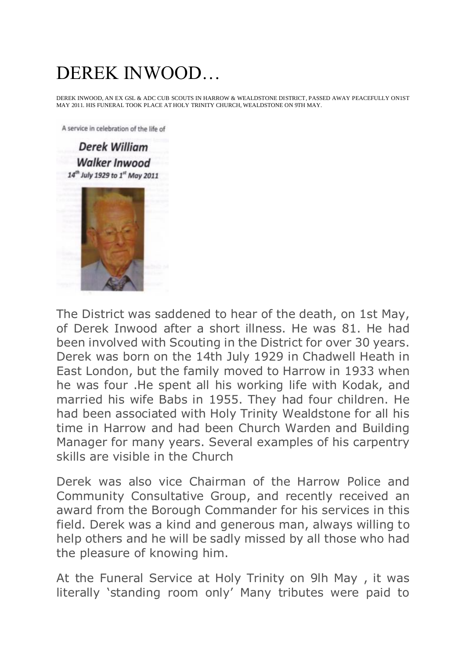## DEREK INWOOD…

DEREK INWOOD, AN EX GSL & ADC CUB SCOUTS IN HARROW & WEALDSTONE DISTRICT, PASSED AWAY PEACEFULLY ON1ST MAY 2011. HIS FUNERAL TOOK PLACE AT HOLY TRINITY CHURCH, WEALDSTONE ON 9TH MAY.

A service in celebration of the life of

**Derek William Walker Inwood** 14<sup>th</sup> July 1929 to 1<sup>st</sup> May 2011

The District was saddened to hear of the death, on 1st May, of Derek Inwood after a short illness. He was 81. He had been involved with Scouting in the District for over 30 years. Derek was born on the 14th July 1929 in Chadwell Heath in East London, but the family moved to Harrow in 1933 when he was four .He spent all his working life with Kodak, and married his wife Babs in 1955. They had four children. He had been associated with Holy Trinity Wealdstone for all his time in Harrow and had been Church Warden and Building Manager for many years. Several examples of his carpentry skills are visible in the Church

Derek was also vice Chairman of the Harrow Police and Community Consultative Group, and recently received an award from the Borough Commander for his services in this field. Derek was a kind and generous man, always willing to help others and he will be sadly missed by all those who had the pleasure of knowing him.

At the Funeral Service at Holy Trinity on 9lh May , it was literally 'standing room only' Many tributes were paid to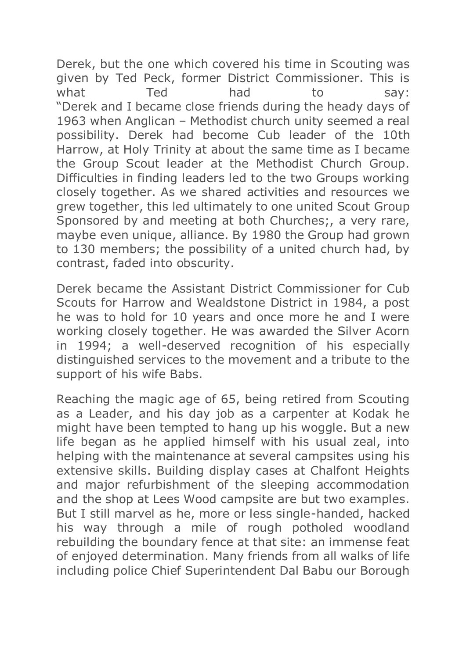Derek, but the one which covered his time in Scouting was given by Ted Peck, former District Commissioner. This is what Ted had to say: "Derek and I became close friends during the heady days of 1963 when Anglican – Methodist church unity seemed a real possibility. Derek had become Cub leader of the 10th Harrow, at Holy Trinity at about the same time as I became the Group Scout leader at the Methodist Church Group. Difficulties in finding leaders led to the two Groups working closely together. As we shared activities and resources we grew together, this led ultimately to one united Scout Group Sponsored by and meeting at both Churches;, a very rare, maybe even unique, alliance. By 1980 the Group had grown to 130 members; the possibility of a united church had, by contrast, faded into obscurity.

Derek became the Assistant District Commissioner for Cub Scouts for Harrow and Wealdstone District in 1984, a post he was to hold for 10 years and once more he and I were working closely together. He was awarded the Silver Acorn in 1994; a well-deserved recognition of his especially distinguished services to the movement and a tribute to the support of his wife Babs.

Reaching the magic age of 65, being retired from Scouting as a Leader, and his day job as a carpenter at Kodak he might have been tempted to hang up his woggle. But a new life began as he applied himself with his usual zeal, into helping with the maintenance at several campsites using his extensive skills. Building display cases at Chalfont Heights and major refurbishment of the sleeping accommodation and the shop at Lees Wood campsite are but two examples. But I still marvel as he, more or less single-handed, hacked his way through a mile of rough potholed woodland rebuilding the boundary fence at that site: an immense feat of enjoyed determination. Many friends from all walks of life including police Chief Superintendent Dal Babu our Borough